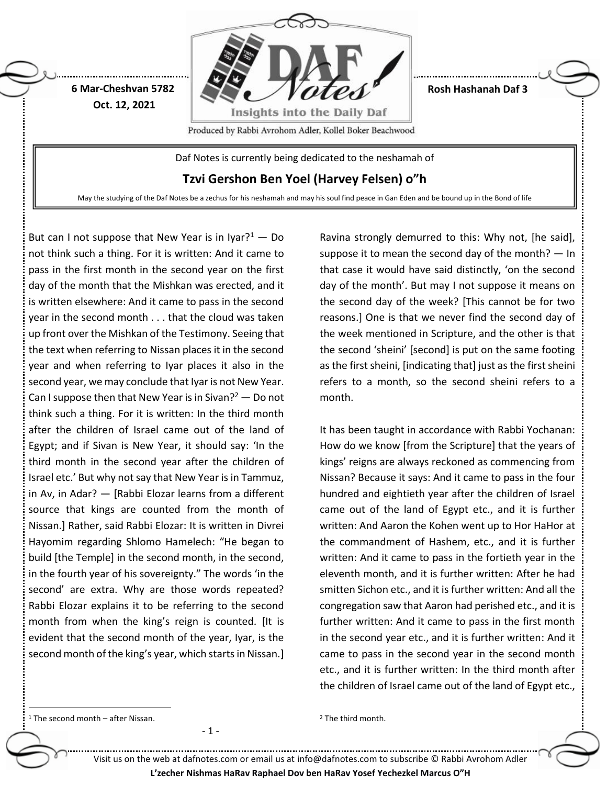

**Rosh Hashanah Daf 3**

Produced by Rabbi Avrohom Adler, Kollel Boker Beachwood

Daf Notes is currently being dedicated to the neshamah of

**Tzvi Gershon Ben Yoel (Harvey Felsen) o"h**

May the studying of the Daf Notes be a zechus for his neshamah and may his soul find peace in Gan Eden and be bound up in the Bond of life

But can I not suppose that New Year is in Iyar?<sup>1</sup> — Do not think such a thing. For it is written: And it came to pass in the first month in the second year on the first day of the month that the Mishkan was erected, and it is written elsewhere: And it came to pass in the second year in the second month . . . that the cloud was taken up front over the Mishkan of the Testimony. Seeing that the text when referring to Nissan places it in the second year and when referring to Iyar places it also in the second year, we may conclude that Iyar is not New Year. Can I suppose then that New Year is in Sivan?<sup>2</sup> — Do not think such a thing. For it is written: In the third month after the children of Israel came out of the land of Egypt; and if Sivan is New Year, it should say: 'In the third month in the second year after the children of Israel etc.' But why not say that New Year is in Tammuz, in Av, in Adar? — [Rabbi Elozar learns from a different source that kings are counted from the month of Nissan.] Rather, said Rabbi Elozar: It is written in Divrei Hayomim regarding Shlomo Hamelech: "He began to build [the Temple] in the second month, in the second, in the fourth year of his sovereignty." The words 'in the second' are extra. Why are those words repeated? Rabbi Elozar explains it to be referring to the second month from when the king's reign is counted. [It is evident that the second month of the year, Iyar, is the second month of the king's year, which starts in Nissan.]

**6 Mar-Cheshvan 5782 Oct. 12, 2021**

> Ravina strongly demurred to this: Why not, [he said], suppose it to mean the second day of the month?  $-$  In that case it would have said distinctly, 'on the second day of the month'. But may I not suppose it means on the second day of the week? [This cannot be for two reasons.] One is that we never find the second day of the week mentioned in Scripture, and the other is that the second 'sheini' [second] is put on the same footing as the first sheini, [indicating that] just as the first sheini refers to a month, so the second sheini refers to a month.

> It has been taught in accordance with Rabbi Yochanan: How do we know [from the Scripture] that the years of kings' reigns are always reckoned as commencing from Nissan? Because it says: And it came to pass in the four hundred and eightieth year after the children of Israel came out of the land of Egypt etc., and it is further written: And Aaron the Kohen went up to Hor HaHor at the commandment of Hashem, etc., and it is further written: And it came to pass in the fortieth year in the eleventh month, and it is further written: After he had smitten Sichon etc., and it is further written: And all the congregation saw that Aaron had perished etc., and it is further written: And it came to pass in the first month in the second year etc., and it is further written: And it came to pass in the second year in the second month etc., and it is further written: In the third month after the children of Israel came out of the land of Egypt etc.,

 $1$  The second month – after Nissan.

 $\ddot{\phantom{a}}$ 

- 1 -

<sup>2</sup> The third month.

Visit us on the web at dafnotes.com or email us at [info@dafnotes.com](mailto:info@dafnotes.com) to subscribe © Rabbi Avrohom Adler **L'zecher Nishmas HaRav Raphael Dov ben HaRav Yosef Yechezkel Marcus O"H**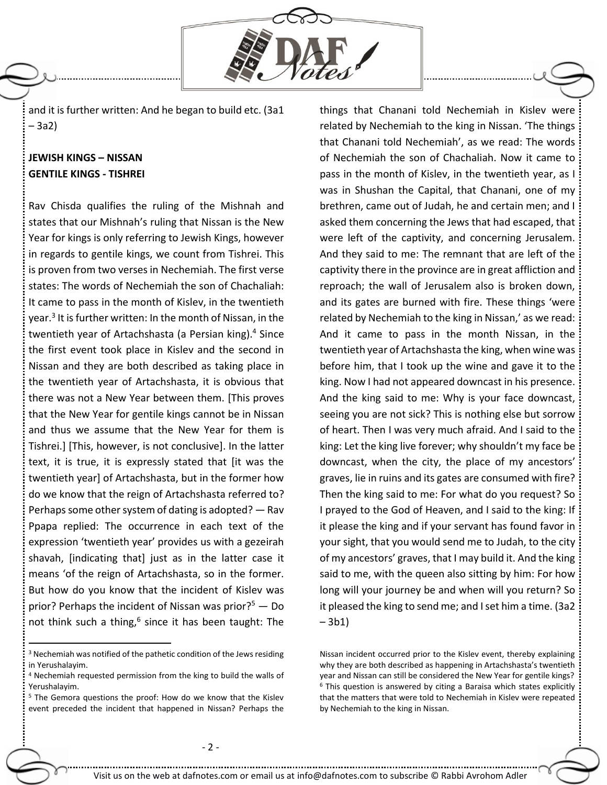

and it is further written: And he began to build etc. (3a1 – 3a2)

# **JEWISH KINGS – NISSAN GENTILE KINGS - TISHREI**

Rav Chisda qualifies the ruling of the Mishnah and states that our Mishnah's ruling that Nissan is the New Year for kings is only referring to Jewish Kings, however in regards to gentile kings, we count from Tishrei. This is proven from two verses in Nechemiah. The first verse states: The words of Nechemiah the son of Chachaliah: It came to pass in the month of Kislev, in the twentieth year. 3 It is further written: In the month of Nissan, in the twentieth year of Artachshasta (a Persian king). <sup>4</sup> Since the first event took place in Kislev and the second in Nissan and they are both described as taking place in the twentieth year of Artachshasta, it is obvious that there was not a New Year between them. [This proves that the New Year for gentile kings cannot be in Nissan and thus we assume that the New Year for them is Tishrei.] [This, however, is not conclusive]. In the latter text, it is true, it is expressly stated that [it was the twentieth year] of Artachshasta, but in the former how do we know that the reign of Artachshasta referred to? Perhaps some other system of dating is adopted?  $-$  Rav Ppapa replied: The occurrence in each text of the expression 'twentieth year' provides us with a gezeirah shavah, [indicating that] just as in the latter case it means 'of the reign of Artachshasta, so in the former. But how do you know that the incident of Kislev was prior? Perhaps the incident of Nissan was prior? $5 - Do$ not think such a thing,<sup>6</sup> since it has been taught: The

 $\overline{a}$ 

things that Chanani told Nechemiah in Kislev were related by Nechemiah to the king in Nissan. 'The things that Chanani told Nechemiah', as we read: The words of Nechemiah the son of Chachaliah. Now it came to pass in the month of Kislev, in the twentieth year, as I was in Shushan the Capital, that Chanani, one of my brethren, came out of Judah, he and certain men; and I asked them concerning the Jews that had escaped, that were left of the captivity, and concerning Jerusalem. And they said to me: The remnant that are left of the captivity there in the province are in great affliction and reproach; the wall of Jerusalem also is broken down, and its gates are burned with fire. These things 'were related by Nechemiah to the king in Nissan,' as we read: And it came to pass in the month Nissan, in the twentieth year of Artachshasta the king, when wine was before him, that I took up the wine and gave it to the king. Now I had not appeared downcast in his presence. And the king said to me: Why is your face downcast, seeing you are not sick? This is nothing else but sorrow of heart. Then I was very much afraid. And I said to the king: Let the king live forever; why shouldn't my face be downcast, when the city, the place of my ancestors' graves, lie in ruins and its gates are consumed with fire? Then the king said to me: For what do you request? So I prayed to the God of Heaven, and I said to the king: If it please the king and if your servant has found favor in your sight, that you would send me to Judah, to the city of my ancestors' graves, that I may build it. And the king said to me, with the queen also sitting by him: For how long will your journey be and when will you return? So it pleased the king to send me; and I set him a time. (3a2 – 3b1)

<sup>&</sup>lt;sup>3</sup> Nechemiah was notified of the pathetic condition of the Jews residing in Yerushalayim.

<sup>4</sup> Nechemiah requested permission from the king to build the walls of Yerushalayim.

<sup>5</sup> The Gemora questions the proof: How do we know that the Kislev event preceded the incident that happened in Nissan? Perhaps the

Nissan incident occurred prior to the Kislev event, thereby explaining why they are both described as happening in Artachshasta's twentieth year and Nissan can still be considered the New Year for gentile kings? <sup>6</sup> This question is answered by citing a Baraisa which states explicitly that the matters that were told to Nechemiah in Kislev were repeated by Nechemiah to the king in Nissan.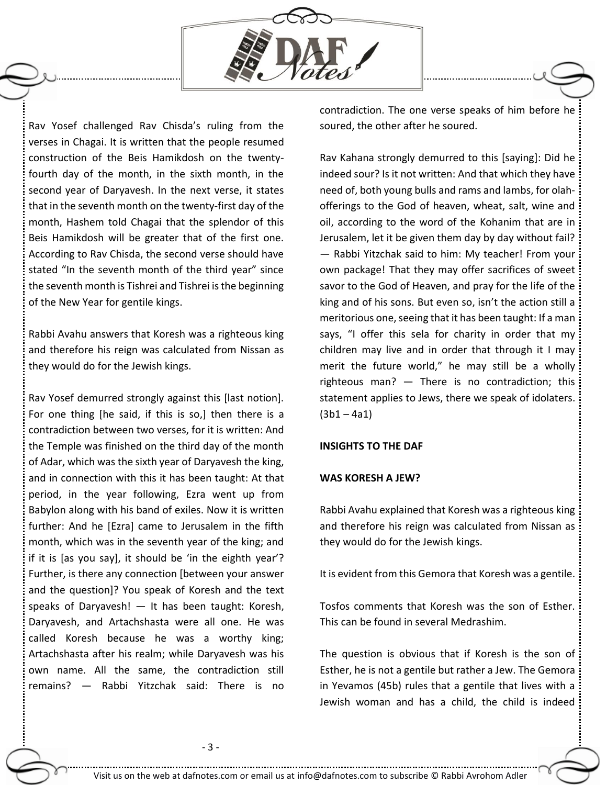

Rav Yosef challenged Rav Chisda's ruling from the verses in Chagai. It is written that the people resumed construction of the Beis Hamikdosh on the twentyfourth day of the month, in the sixth month, in the second year of Daryavesh. In the next verse, it states that in the seventh month on the twenty-first day of the month, Hashem told Chagai that the splendor of this Beis Hamikdosh will be greater that of the first one. According to Rav Chisda, the second verse should have stated "In the seventh month of the third year" since the seventh month is Tishrei and Tishrei is the beginning of the New Year for gentile kings.

Rabbi Avahu answers that Koresh was a righteous king and therefore his reign was calculated from Nissan as they would do for the Jewish kings.

Rav Yosef demurred strongly against this [last notion]. For one thing [he said, if this is so,] then there is a contradiction between two verses, for it is written: And the Temple was finished on the third day of the month of Adar, which was the sixth year of Daryavesh the king, and in connection with this it has been taught: At that period, in the year following, Ezra went up from Babylon along with his band of exiles. Now it is written further: And he [Ezra] came to Jerusalem in the fifth month, which was in the seventh year of the king; and if it is [as you say], it should be 'in the eighth year'? Further, is there any connection [between your answer and the question]? You speak of Koresh and the text speaks of Daryavesh! — It has been taught: Koresh, Daryavesh, and Artachshasta were all one. He was called Koresh because he was a worthy king; Artachshasta after his realm; while Daryavesh was his own name. All the same, the contradiction still remains? — Rabbi Yitzchak said: There is no contradiction. The one verse speaks of him before he soured, the other after he soured.

Rav Kahana strongly demurred to this [saying]: Did he indeed sour? Is it not written: And that which they have need of, both young bulls and rams and lambs, for olahofferings to the God of heaven, wheat, salt, wine and oil, according to the word of the Kohanim that are in Jerusalem, let it be given them day by day without fail? — Rabbi Yitzchak said to him: My teacher! From your own package! That they may offer sacrifices of sweet savor to the God of Heaven, and pray for the life of the king and of his sons. But even so, isn't the action still a meritorious one, seeing that it has been taught: If a man says, "I offer this sela for charity in order that my children may live and in order that through it I may merit the future world," he may still be a wholly righteous man? — There is no contradiction; this statement applies to Jews, there we speak of idolaters.  $(3b1 - 4a1)$ 

### **INSIGHTS TO THE DAF**

#### **WAS KORESH A JEW?**

Rabbi Avahu explained that Koresh was a righteous king and therefore his reign was calculated from Nissan as they would do for the Jewish kings.

It is evident from this Gemora that Koresh was a gentile.

Tosfos comments that Koresh was the son of Esther. This can be found in several Medrashim.

The question is obvious that if Koresh is the son of Esther, he is not a gentile but rather a Jew. The Gemora in Yevamos (45b) rules that a gentile that lives with a Jewish woman and has a child, the child is indeed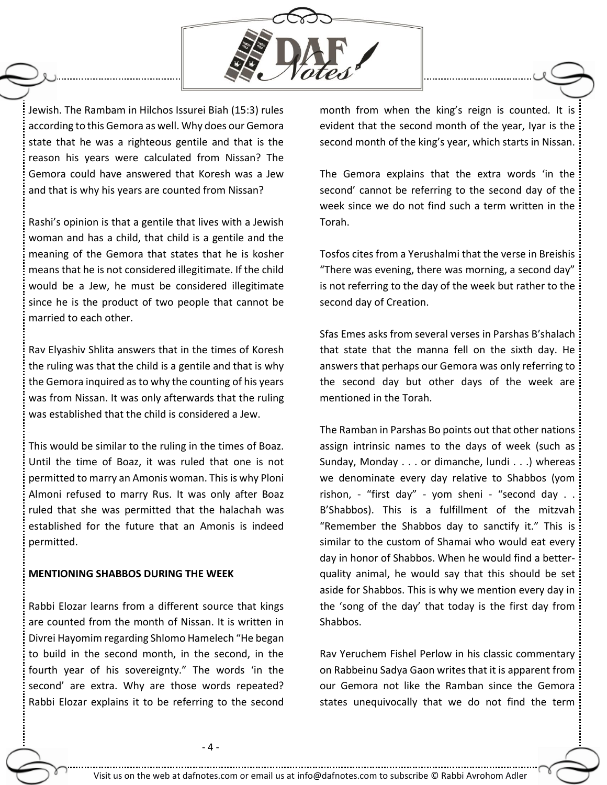

Jewish. The Rambam in Hilchos Issurei Biah (15:3) rules according to this Gemora as well. Why does our Gemora state that he was a righteous gentile and that is the reason his years were calculated from Nissan? The Gemora could have answered that Koresh was a Jew and that is why his years are counted from Nissan?

Rashi's opinion is that a gentile that lives with a Jewish woman and has a child, that child is a gentile and the meaning of the Gemora that states that he is kosher means that he is not considered illegitimate. If the child would be a Jew, he must be considered illegitimate since he is the product of two people that cannot be married to each other.

Rav Elyashiv Shlita answers that in the times of Koresh the ruling was that the child is a gentile and that is why the Gemora inquired as to why the counting of his years was from Nissan. It was only afterwards that the ruling was established that the child is considered a Jew.

This would be similar to the ruling in the times of Boaz. Until the time of Boaz, it was ruled that one is not permitted to marry an Amonis woman. This is why Ploni Almoni refused to marry Rus. It was only after Boaz ruled that she was permitted that the halachah was established for the future that an Amonis is indeed permitted.

## **MENTIONING SHABBOS DURING THE WEEK**

Rabbi Elozar learns from a different source that kings are counted from the month of Nissan. It is written in Divrei Hayomim regarding Shlomo Hamelech "He began to build in the second month, in the second, in the fourth year of his sovereignty." The words 'in the second' are extra. Why are those words repeated? Rabbi Elozar explains it to be referring to the second month from when the king's reign is counted. It is evident that the second month of the year, Iyar is the second month of the king's year, which starts in Nissan.

The Gemora explains that the extra words 'in the second' cannot be referring to the second day of the week since we do not find such a term written in the Torah.

Tosfos cites from a Yerushalmi that the verse in Breishis "There was evening, there was morning, a second day" is not referring to the day of the week but rather to the second day of Creation.

Sfas Emes asks from several verses in Parshas B'shalach that state that the manna fell on the sixth day. He answers that perhaps our Gemora was only referring to the second day but other days of the week are mentioned in the Torah.

The Ramban in Parshas Bo points out that other nations assign intrinsic names to the days of week (such as Sunday, Monday . . . or dimanche, lundi . . .) whereas we denominate every day relative to Shabbos (yom rishon, - "first day" - yom sheni - "second day . . B'Shabbos). This is a fulfillment of the mitzvah "Remember the Shabbos day to sanctify it." This is similar to the custom of Shamai who would eat every day in honor of Shabbos. When he would find a betterquality animal, he would say that this should be set aside for Shabbos. This is why we mention every day in the 'song of the day' that today is the first day from Shabbos.

Rav Yeruchem Fishel Perlow in his classic commentary on Rabbeinu Sadya Gaon writes that it is apparent from our Gemora not like the Ramban since the Gemora states unequivocally that we do not find the term